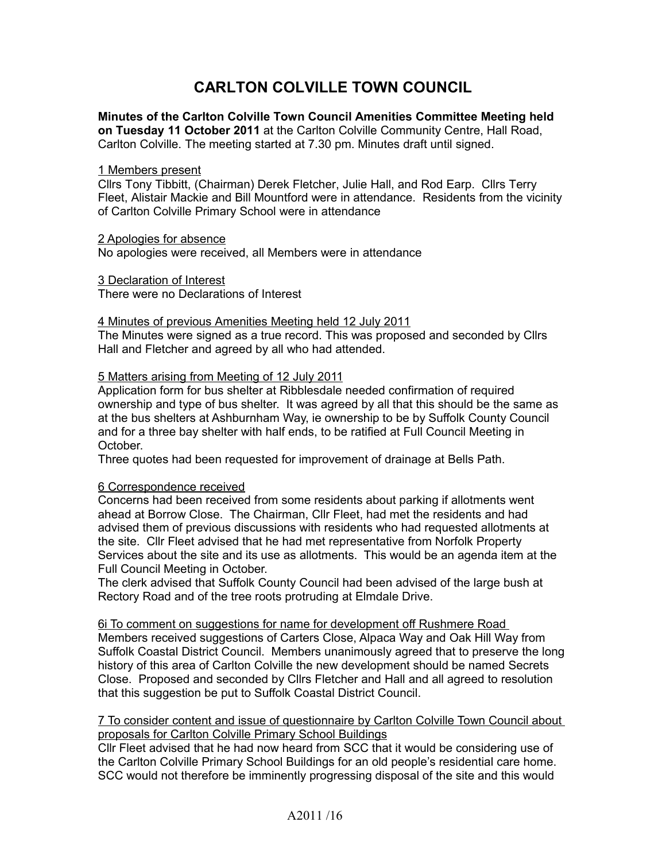# **CARLTON COLVILLE TOWN COUNCIL**

**Minutes of the Carlton Colville Town Council Amenities Committee Meeting held on Tuesday 11 October 2011** at the Carlton Colville Community Centre, Hall Road, Carlton Colville. The meeting started at 7.30 pm. Minutes draft until signed.

#### 1 Members present

Cllrs Tony Tibbitt, (Chairman) Derek Fletcher, Julie Hall, and Rod Earp. Cllrs Terry Fleet, Alistair Mackie and Bill Mountford were in attendance. Residents from the vicinity of Carlton Colville Primary School were in attendance

## 2 Apologies for absence

No apologies were received, all Members were in attendance

3 Declaration of Interest

There were no Declarations of Interest

#### 4 Minutes of previous Amenities Meeting held 12 July 2011

The Minutes were signed as a true record. This was proposed and seconded by Cllrs Hall and Fletcher and agreed by all who had attended.

# 5 Matters arising from Meeting of 12 July 2011

Application form for bus shelter at Ribblesdale needed confirmation of required ownership and type of bus shelter. It was agreed by all that this should be the same as at the bus shelters at Ashburnham Way, ie ownership to be by Suffolk County Council and for a three bay shelter with half ends, to be ratified at Full Council Meeting in October.

Three quotes had been requested for improvement of drainage at Bells Path.

## 6 Correspondence received

Concerns had been received from some residents about parking if allotments went ahead at Borrow Close. The Chairman, Cllr Fleet, had met the residents and had advised them of previous discussions with residents who had requested allotments at the site. Cllr Fleet advised that he had met representative from Norfolk Property Services about the site and its use as allotments. This would be an agenda item at the Full Council Meeting in October.

The clerk advised that Suffolk County Council had been advised of the large bush at Rectory Road and of the tree roots protruding at Elmdale Drive.

6i To comment on suggestions for name for development off Rushmere Road Members received suggestions of Carters Close, Alpaca Way and Oak Hill Way from Suffolk Coastal District Council. Members unanimously agreed that to preserve the long history of this area of Carlton Colville the new development should be named Secrets Close. Proposed and seconded by Cllrs Fletcher and Hall and all agreed to resolution that this suggestion be put to Suffolk Coastal District Council.

## 7 To consider content and issue of questionnaire by Carlton Colville Town Council about proposals for Carlton Colville Primary School Buildings

Cllr Fleet advised that he had now heard from SCC that it would be considering use of the Carlton Colville Primary School Buildings for an old people's residential care home. SCC would not therefore be imminently progressing disposal of the site and this would